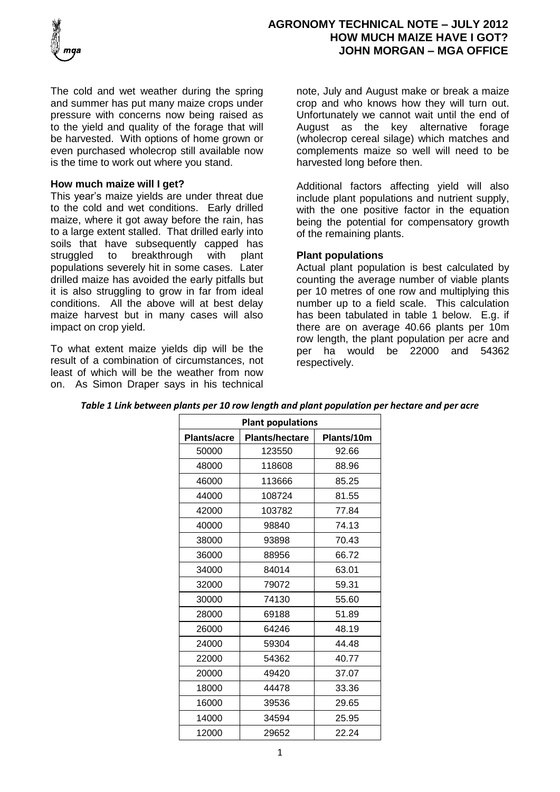

The cold and wet weather during the spring and summer has put many maize crops under pressure with concerns now being raised as to the yield and quality of the forage that will be harvested. With options of home grown or even purchased wholecrop still available now is the time to work out where you stand.

### **How much maize will I get?**

This year's maize yields are under threat due to the cold and wet conditions. Early drilled maize, where it got away before the rain, has to a large extent stalled. That drilled early into soils that have subsequently capped has struggled to breakthrough with plant populations severely hit in some cases. Later drilled maize has avoided the early pitfalls but it is also struggling to grow in far from ideal conditions. All the above will at best delay maize harvest but in many cases will also impact on crop yield.

To what extent maize yields dip will be the result of a combination of circumstances, not least of which will be the weather from now on. As Simon Draper says in his technical note, July and August make or break a maize crop and who knows how they will turn out. Unfortunately we cannot wait until the end of August as the key alternative forage (wholecrop cereal silage) which matches and complements maize so well will need to be harvested long before then.

Additional factors affecting yield will also include plant populations and nutrient supply, with the one positive factor in the equation being the potential for compensatory growth of the remaining plants.

# **Plant populations**

Actual plant population is best calculated by counting the average number of viable plants per 10 metres of one row and multiplying this number up to a field scale. This calculation has been tabulated in table 1 below. E.g. if there are on average 40.66 plants per 10m row length, the plant population per acre and per ha would be 22000 and 54362 respectively.

| <b>Plant populations</b> |                       |            |  |
|--------------------------|-----------------------|------------|--|
| <b>Plants/acre</b>       | <b>Plants/hectare</b> | Plants/10m |  |
| 50000                    | 123550                | 92.66      |  |
| 48000                    | 118608                | 88.96      |  |
| 46000                    | 113666                | 85.25      |  |
| 44000                    | 108724                | 81.55      |  |
| 42000                    | 103782                | 77.84      |  |
| 40000                    | 98840                 | 74.13      |  |
| 38000                    | 93898                 | 70.43      |  |
| 36000                    | 88956                 | 66.72      |  |
| 34000                    | 84014                 | 63.01      |  |
| 32000                    | 79072                 | 59.31      |  |
| 30000                    | 74130                 | 55.60      |  |
| 28000                    | 69188                 | 51.89      |  |
| 26000                    | 64246                 | 48.19      |  |
| 24000                    | 59304                 | 44.48      |  |
| 22000                    | 54362                 | 40.77      |  |
| 20000                    | 49420                 | 37.07      |  |
| 18000                    | 44478                 | 33.36      |  |
| 16000                    | 39536                 | 29.65      |  |
| 14000                    | 34594                 | 25.95      |  |
| 12000                    | 29652                 | 22.24      |  |

*Table 1 Link between plants per 10 row length and plant population per hectare and per acre*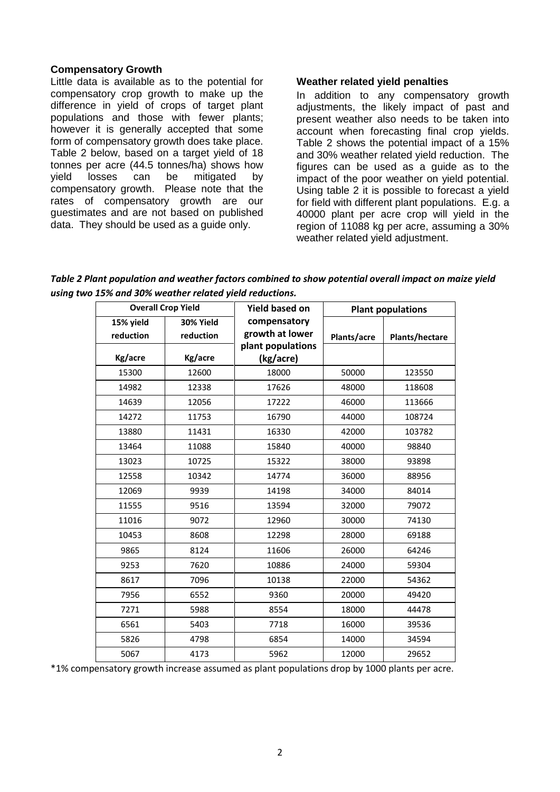#### **Compensatory Growth**

Little data is available as to the potential for compensatory crop growth to make up the difference in yield of crops of target plant populations and those with fewer plants; however it is generally accepted that some form of compensatory growth does take place. Table 2 below, based on a target yield of 18 tonnes per acre (44.5 tonnes/ha) shows how yield losses can be mitigated by compensatory growth. Please note that the rates of compensatory growth are our guestimates and are not based on published data. They should be used as a guide only.

#### **Weather related yield penalties**

In addition to any compensatory growth adjustments, the likely impact of past and present weather also needs to be taken into account when forecasting final crop yields. Table 2 shows the potential impact of a 15% and 30% weather related yield reduction. The figures can be used as a guide as to the impact of the poor weather on yield potential. Using table 2 it is possible to forecast a yield for field with different plant populations. E.g. a 40000 plant per acre crop will yield in the region of 11088 kg per acre, assuming a 30% weather related yield adjustment.

*Table 2 Plant population and weather factors combined to show potential overall impact on maize yield using two 15% and 30% weather related yield reductions.* 

| <b>Overall Crop Yield</b> |           | <b>Yield based on</b> | <b>Plant populations</b> |                       |
|---------------------------|-----------|-----------------------|--------------------------|-----------------------|
| 15% yield                 | 30% Yield | compensatory          |                          |                       |
| reduction                 | reduction | growth at lower       | Plants/acre              | <b>Plants/hectare</b> |
|                           |           | plant populations     |                          |                       |
| Kg/acre                   | Kg/acre   | (kg/acre)             |                          |                       |
| 15300                     | 12600     | 18000                 | 50000                    | 123550                |
| 14982                     | 12338     | 17626                 | 48000                    | 118608                |
| 14639                     | 12056     | 17222                 | 46000                    | 113666                |
| 14272                     | 11753     | 16790                 | 44000                    | 108724                |
| 13880                     | 11431     | 16330                 | 42000                    | 103782                |
| 13464                     | 11088     | 15840                 | 40000                    | 98840                 |
| 13023                     | 10725     | 15322                 | 38000                    | 93898                 |
| 12558                     | 10342     | 14774                 | 36000                    | 88956                 |
| 12069                     | 9939      | 14198                 | 34000                    | 84014                 |
| 11555                     | 9516      | 13594                 | 32000                    | 79072                 |
| 11016                     | 9072      | 12960                 | 30000                    | 74130                 |
| 10453                     | 8608      | 12298                 | 28000                    | 69188                 |
| 9865                      | 8124      | 11606                 | 26000                    | 64246                 |
| 9253                      | 7620      | 10886                 | 24000                    | 59304                 |
| 8617                      | 7096      | 10138                 | 22000                    | 54362                 |
| 7956                      | 6552      | 9360                  | 20000                    | 49420                 |
| 7271                      | 5988      | 8554                  | 18000                    | 44478                 |
| 6561                      | 5403      | 7718                  | 16000                    | 39536                 |
| 5826                      | 4798      | 6854                  | 14000                    | 34594                 |
| 5067                      | 4173      | 5962                  | 12000                    | 29652                 |

\*1% compensatory growth increase assumed as plant populations drop by 1000 plants per acre.